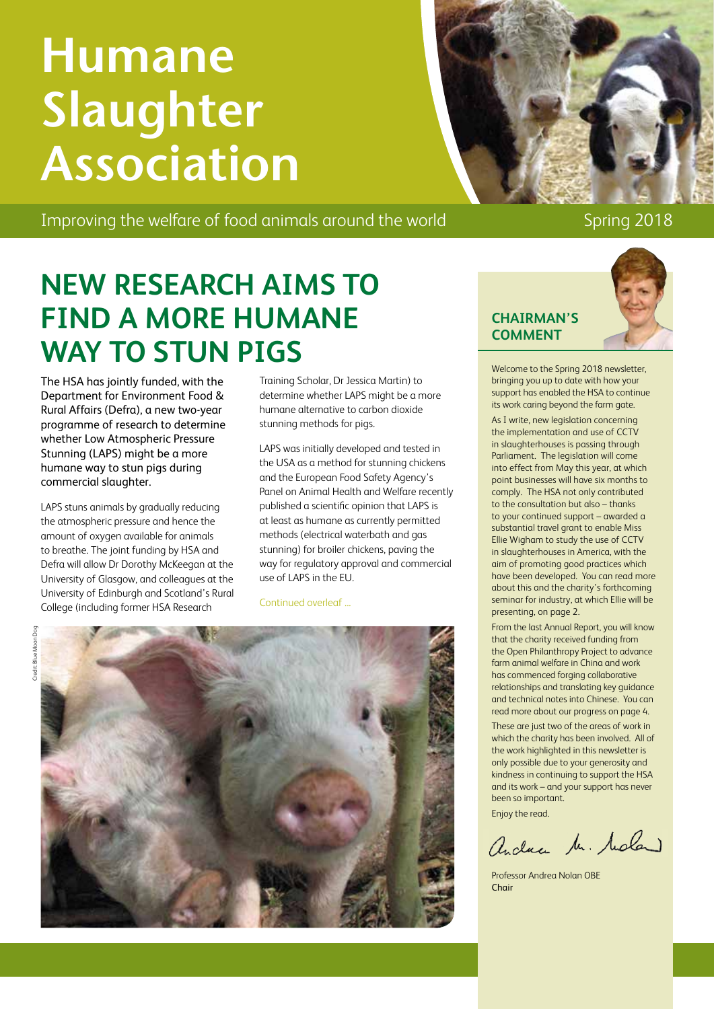# **Humane Slaughter Association**

Improving the welfare of food animals around the world Spring 2018

# **CHAIRMAN'S**

**COMMENT**

Welcome to the Spring 2018 newsletter, bringing you up to date with how your support has enabled the HSA to continue its work caring beyond the farm gate.

As I write, new legislation concerning the implementation and use of CCTV in slaughterhouses is passing through Parliament. The legislation will come into effect from May this year, at which point businesses will have six months to comply. The HSA not only contributed to the consultation but also – thanks to your continued support – awarded a substantial travel grant to enable Miss Ellie Wigham to study the use of CCTV in slaughterhouses in America, with the aim of promoting good practices which have been developed. You can read more about this and the charity's forthcoming seminar for industry, at which Ellie will be presenting, on page 2.

From the last Annual Report, you will know that the charity received funding from the Open Philanthropy Project to advance farm animal welfare in China and work has commenced forging collaborative relationships and translating key guidance and technical notes into Chinese. You can read more about our progress on page 4.

These are just two of the areas of work in which the charity has been involved. All of the work highlighted in this newsletter is only possible due to your generosity and kindness in continuing to support the HSA and its work – and your support has never been so important.

Enjoy the read.

andrea Mr. Moland

Professor Andrea Nolan OBE Chair

## **NEW RESEARCH AIMS TO FIND A MORE HUMANE WAY TO STUN PIGS**

The HSA has jointly funded, with the Department for Environment Food & Rural Affairs (Defra), a new two-year programme of research to determine whether Low Atmospheric Pressure Stunning (LAPS) might be a more humane way to stun pigs during commercial slaughter.

LAPS stuns animals by gradually reducing the atmospheric pressure and hence the amount of oxygen available for animals to breathe. The joint funding by HSA and Defra will allow Dr Dorothy McKeegan at the University of Glasgow, and colleagues at the University of Edinburgh and Scotland's Rural College (including former HSA Research

Training Scholar, Dr Jessica Martin) to determine whether LAPS might be a more humane alternative to carbon dioxide stunning methods for pigs.

LAPS was initially developed and tested in the USA as a method for stunning chickens and the European Food Safety Agency's Panel on Animal Health and Welfare recently published a scientific opinion that LAPS is at least as humane as currently permitted methods (electrical waterbath and gas stunning) for broiler chickens, paving the way for regulatory approval and commercial use of LAPS in the EU.

Continued overleaf ...





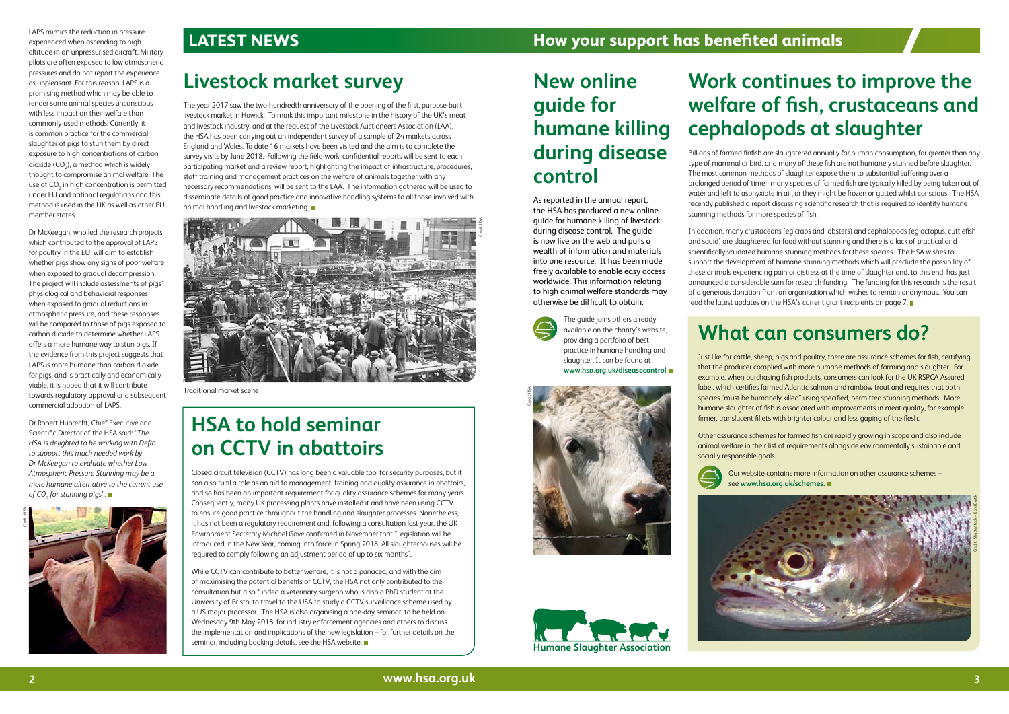### **LATEST NEWS How your support has benefited animals**

### **What can consumers do?**

Just like for cattle, sheep, pigs and poultry, there are assurance schemes for fish, certifying that the producer complied with more humane methods of farming and slaughter. For example, when purchasing fish products, consumers can look for the UK RSPCA Assured label, which certifies farmed Atlantic salmon and rainbow trout and requires that both species "must be humanely killed" using specified, permitted stunning methods. More humane slaughter of fish is associated with improvements in meat quality, for example firmer, translucent fillets with brighter colour and less gaping of the flesh.

Other assurance schemes for farmed fish are rapidly growing in scope and also include animal welfare in their list of requirements alongside environmentally sustainable and socially responsible goals.



 Our website contains more information on other assurance schemes – see **www.hsa.org.uk/schemes**.

# **Work continues to improve the welfare of fish, crustaceans and cephalopods at slaughter**

Billions of farmed finfish are slaughtered annually for human consumption, far greater than any type of mammal or bird, and many of these fish are not humanely stunned before slaughter. The most common methods of slaughter expose them to substantial suffering over a prolonged period of time - many species of farmed fish are typically killed by being taken out of water and left to asphyxiate in air, or they might be frozen or gutted whilst conscious. The HSA recently published a report discussing scientific research that is required to identify humane stunning methods for more species of fish.



Traditional market scene

In addition, many crustaceans (eg crabs and lobsters) and cephalopods (eg octopus, cuttlefish and squid) are slaughtered for food without stunning and there is a lack of practical and scientifically validated humane stunning methods for these species. The HSA wishes to support the development of humane stunning methods which will preclude the possibility of these animals experiencing pain or distress at the time of slaughter and, to this end, has just announced a considerable sum for research funding. The funding for this research is the result of a generous donation from an organisation which wishes to remain anonymous. You can read the latest updates on the HSA's current grant recipients on page 7.

While CCTV can contribute to better welfare, it is not a panacea, and with the aim of maximising the potential benefits of CCTV, the HSA not only contributed to the consultation but also funded a veterinary surgeon who is also a PhD student at the University of Bristol to travel to the USA to study a CCTV surveillance scheme used by a US major processor. The HSA is also organising a one-day seminar, to be held on Wednesday 9th May 2018, for industry enforcement agencies and others to discuss the implementation and implications of the new legislation – for further details on the seminar, including booking details, see the HSA website.



### **Livestock market survey**

The year 2017 saw the two-hundredth anniversary of the opening of the first, purpose-built, livestock market in Hawick. To mark this important milestone in the history of the UK's meat and livestock industry, and at the request of the Livestock Auctioneers Association (LAA), the HSA has been carrying out an independent survey of a sample of 24 markets across England and Wales. To date 16 markets have been visited and the aim is to complete the survey visits by June 2018. Following the field-work, confidential reports will be sent to each participating market and a review report, highlighting the impact of infrastructure, procedures, staff training and management practices on the welfare of animals together with any necessary recommendations, will be sent to the LAA. The information gathered will be used to disseminate details of good practice and innovative handling systems to all those involved with animal handling and livestock marketing.

### **HSA to hold seminar on CCTV in abattoirs**

Closed circuit television (CCTV) has long been a valuable tool for security purposes, but it can also fulfil a role as an aid to management, training and quality assurance in abattoirs, and so has been an important requirement for quality assurance schemes for many years. Consequently, many UK processing plants have installed it and have been using CCTV to ensure good practice throughout the handling and slaughter processes. Nonetheless, it has not been a regulatory requirement and, following a consultation last year, the UK Environment Secretary Michael Gove confirmed in November that "Legislation will be introduced in the New Year, coming into force in Spring 2018. All slaughterhouses will be required to comply following an adjustment period of up to six months".

### **New online guide for humane killing during disease control**

As reported in the annual report, the HSA has produced a new online guide for humane killing of livestock during disease control. The guide is now live on the web and pulls a wealth of information and materials into one resource. It has been made freely available to enable easy access worldwide. This information relating to high animal welfare standards may otherwise be difficult to obtain.



 The guide joins others already available on the charity's website, providing a portfolio of best practice in humane handling and slaughter. It can be found at **www.hsa.org.uk/diseasecontrol**.





LAPS mimics the reduction in pressure experienced when ascending to high altitude in an unpressurised aircraft. Military pilots are often exposed to low atmospheric pressures and do not report the experience as unpleasant. For this reason, LAPS is a promising method which may be able to render some animal species unconscious with less impact on their welfare than commonly-used methods. Currently, it is common practice for the commercial slaughter of pigs to stun them by direct exposure to high concentrations of carbon dioxide (CO<sub>2</sub>), a method which is widely thought to compromise animal welfare. The use of  $\mathrm{CO}_2$  in high concentration is permitted under EU and national regulations and this method is used in the UK as well as other EU member states.

Dr McKeegan, who led the research projects which contributed to the approval of LAPS for poultry in the EU, will aim to establish whether pigs show any signs of poor welfare when exposed to gradual decompression. The project will include assessments of pigs' physiological and behavioral responses when exposed to gradual reductions in atmospheric pressure, and these responses will be compared to those of pigs exposed to carbon dioxide to determine whether LAPS offers a more humane way to stun pigs. If the evidence from this project suggests that LAPS is more humane than carbon dioxide for pigs, and is practically and economically viable, it is hoped that it will contribute towards regulatory approval and subsequent commercial adoption of LAPS.

Dr Robert Hubrecht, Chief Executive and Scientific Director of the HSA said: *"The HSA is delighted to be working with Defra to support this much needed work by Dr McKeegan to evaluate whether Low Atmospheric Pressure Stunning may be a more humane alternative to the current use of CO2 for stunning pigs".*

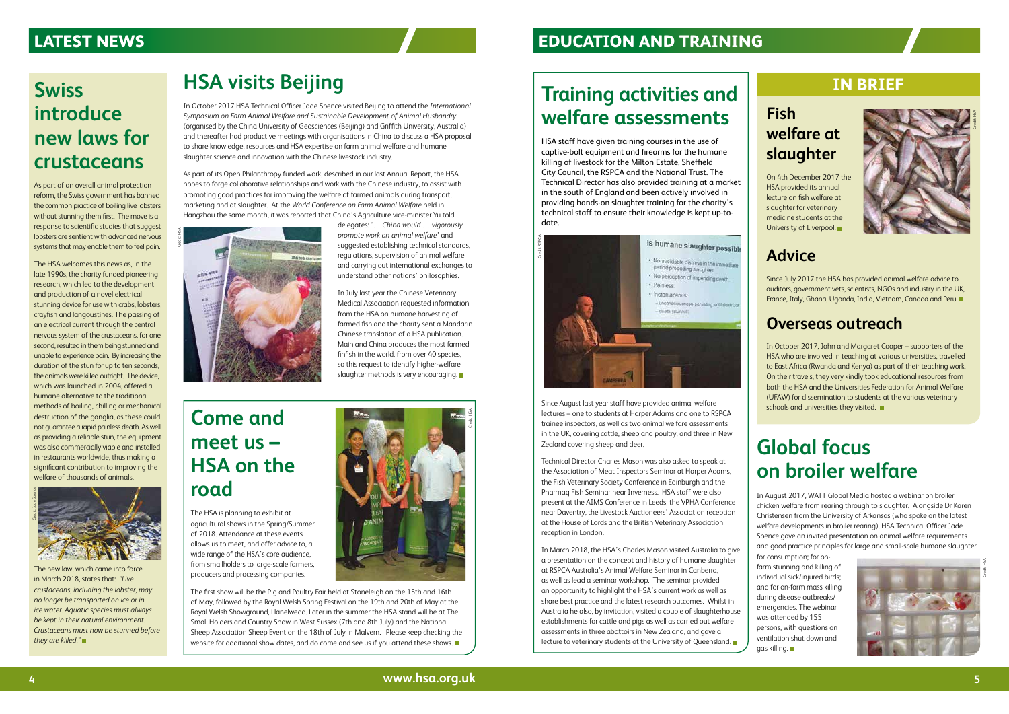### **Global focus on broiler welfare**

In August 2017, WATT Global Media hosted a webinar on broiler chicken welfare from rearing through to slaughter. Alongside Dr Karen Christensen from the University of Arkansas (who spoke on the latest welfare developments in broiler rearing), HSA Technical Officer Jade Spence gave an invited presentation on animal welfare requirements and good practice principles for large and small-scale humane slaughter

for consumption; for onfarm stunning and killing of individual sick/injured birds; and for on-farm mass killing during disease outbreaks/ emergencies. The webinar was attended by 155 persons, with questions on ventilation shut down and gas killing.



### **HSA visits Beijing**

In July last year the Chinese Veterinary Medical Association requested information from the HSA on humane harvesting of farmed fish and the charity sent a Mandarin Chinese translation of a HSA publication. Mainland China produces the most farmed finfish in the world, from over 40 species, so this request to identify higher-welfare slaughter methods is very encouraging.

In October 2017 HSA Technical Officer Jade Spence visited Beijing to attend the *International Symposium on Farm Animal Welfare and Sustainable Development of Animal Husbandry* (organised by the China University of Geosciences (Beijing) and Griffith University, Australia) and thereafter had productive meetings with organisations in China to discuss a HSA proposal to share knowledge, resources and HSA expertise on farm animal welfare and humane slaughter science and innovation with the Chinese livestock industry.

> On 4th December 2017 the HSA provided its annual lecture on fish welfare at slaughter for veterinary medicine students at the University of Liverpool.

In October 2017, John and Margaret Cooper – supporters of the HSA who are involved in teaching at various universities, travelled to East Africa (Rwanda and Kenya) as part of their teaching work. On their travels, they very kindly took educational resources from both the HSA and the Universities Federation for Animal Welfare (UFAW) for dissemination to students at the various veterinary schools and universities they visited.

As part of its Open Philanthropy funded work, described in our last Annual Report, the HSA hopes to forge collaborative relationships and work with the Chinese industry, to assist with promoting good practices for improving the welfare of farmed animals during transport, marketing and at slaughter. At the *World Conference on Farm Animal Welfare* held in Hangzhou the same month, it was reported that China's Agriculture vice-minister Yu told

The first show will be the Pig and Poultry Fair held at Stoneleigh on the 15th and 16th of May, followed by the Royal Welsh Spring Festival on the 19th and 20th of May at the Royal Welsh Showground, Llanelwedd. Later in the summer the HSA stand will be at The Small Holders and Country Show in West Sussex (7th and 8th July) and the National Sheep Association Sheep Event on the 18th of July in Malvern. Please keep checking the website for additional show dates, and do come and see us if you attend these shows.

delegates: '*… China would … vigorously promote work on animal welfare*' and suggested establishing technical standards, regulations, supervision of animal welfare and carrying out international exchanges to understand other nations' philosophies.



### **LATEST NEWS**

### **IN BRIEF**

### **Fish welfare at slaughter**

### **Advice**

In March 2018, the HSA's Charles Mason visited Australia to give a presentation on the concept and history of humane slaughter at RSPCA Australia's Animal Welfare Seminar in Canberra, as well as lead a seminar workshop. The seminar provided an opportunity to highlight the HSA's current work as well as share best practice and the latest research outcomes. Whilst in Australia he also, by invitation, visited a couple of slaughterhouse establishments for cattle and pigs as well as carried out welfare assessments in three abattoirs in New Zealand, and gave a lecture to veterinary students at the University of Queensland.

Since July 2017 the HSA has provided animal welfare advice to auditors, government vets, scientists, NGOs and industry in the UK, France, Italy, Ghana, Uganda, India, Vietnam, Canada and Peru.

### **Overseas outreach**



### **Come and meet us – HSA on the road**

The HSA is planning to exhibit at agricultural shows in the Spring/Summer of 2018. Attendance at these events allows us to meet, and offer advice to, a wide range of the HSA's core audience, from smallholders to large-scale farmers, producers and processing companies.

The new law, which came into force in March 2018, states that: *"Live crustaceans, including the lobster, may no longer be transported on ice or in ice water. Aquatic species must always be kept in their natural environment. Crustaceans must now be stunned before* 

HSA staff have given training courses in the use of captive-bolt equipment and firearms for the humane killing of livestock for the Milton Estate, Sheffield City Council, the RSPCA and the National Trust. The Technical Director has also provided training at a market in the south of England and been actively involved in providing hands-on slaughter training for the charity's technical staff to ensure their knowledge is kept up-todate.

Since August last year staff have provided animal welfare lectures – one to students at Harper Adams and one to RSPCA trainee inspectors, as well as two animal welfare assessments in the UK, covering cattle, sheep and poultry, and three in New Zealand covering sheep and deer.

Technical Director Charles Mason was also asked to speak at the Association of Meat Inspectors Seminar at Harper Adams, the Fish Veterinary Society Conference in Edinburgh and the Pharmaq Fish Seminar near Inverness. HSA staff were also present at the AIMS Conference in Leeds; the VPHA Conference near Daventry, the Livestock Auctioneers' Association reception at the House of Lords and the British Veterinary Association reception in London.



### **Training activities and welfare assessments**

### **EDUCATION AND TRAINING**

### **Swiss introduce new laws for crustaceans**

As part of an overall animal protection reform, the Swiss government has banned the common practice of boiling live lobsters without stunning them first. The move is a response to scientific studies that suggest lobsters are sentient with advanced nervous systems that may enable them to feel pain.

The HSA welcomes this news as, in the late 1990s, the charity funded pioneering research, which led to the development and production of a novel electrical stunning device for use with crabs, lobsters, crayfish and langoustines. The passing of an electrical current through the central nervous system of the crustaceans, for one second, resulted in them being stunned and unable to experience pain. By increasing the duration of the stun for up to ten seconds, the animals were killed outright. The device, which was launched in 2004, offered a humane alternative to the traditional methods of boiling, chilling or mechanical destruction of the ganglia, as these could not guarantee a rapid painless death. As well as providing a reliable stun, the equipment was also commercially viable and installed in restaurants worldwide, thus making a significant contribution to improving the welfare of thousands of animals.



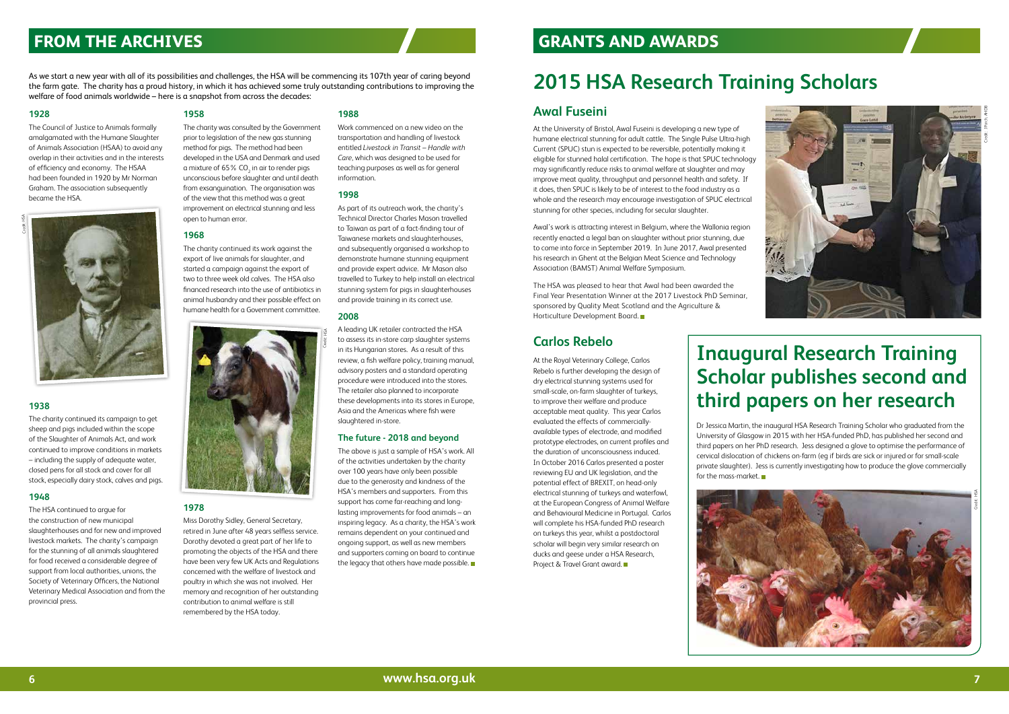#### **1928**

The Council of Justice to Animals formally amalgamated with the Humane Slaughter of Animals Association (HSAA) to avoid any overlap in their activities and in the interests of efficiency and economy. The HSAA had been founded in 1920 by Mr Norman Graham. The association subsequently became the HSA.

### **1938**

The charity continued its campaign to get sheep and pigs included within the scope of the Slaughter of Animals Act, and work continued to improve conditions in markets – including the supply of adequate water, closed pens for all stock and cover for all stock, especially dairy stock, calves and pigs.

#### **1948**

The HSA continued to argue for the construction of new municipal slaughterhouses and for new and improved livestock markets. The charity's campaign for the stunning of all animals slaughtered for food received a considerable degree of support from local authorities, unions, the Society of Veterinary Officers, the National Veterinary Medical Association and from the provincial press.

#### **1958**

The charity was consulted by the Government prior to legislation of the new gas stunning method for pigs. The method had been developed in the USA and Denmark and used a mixture of 65% CO<sub>2</sub> in air to render pigs unconscious before slaughter and until death from exsanguination. The organisation was of the view that this method was a great improvement on electrical stunning and less open to human error.

#### **1968**

The charity continued its work against the export of live animals for slaughter, and started a campaign against the export of two to three week old calves. The HSA also financed research into the use of antibiotics in animal husbandry and their possible effect on humane health for a Government committee.

> The above is just a sample of HSA's work. All of the activities undertaken by the charity over 100 years have only been possible due to the generosity and kindness of the HSA's members and supporters. From this support has come far-reaching and longlasting improvements for food animals – an inspiring legacy. As a charity, the HSA's work remains dependent on your continued and ongoing support, as well as new members and supporters coming on board to continue the legacy that others have made possible.

#### **1978**

Miss Dorothy Sidley, General Secretary, retired in June after 48 years selfless service. Dorothy devoted a great part of her life to promoting the objects of the HSA and there have been very few UK Acts and Regulations concerned with the welfare of livestock and poultry in which she was not involved. Her memory and recognition of her outstanding contribution to animal welfare is still remembered by the HSA today.

#### **1988**

Work commenced on a new video on the transportation and handling of livestock entitled *Livestock in Transit – Handle with Care*, which was designed to be used for teaching purposes as well as for general information.

#### **1998**

The HSA was pleased to hear that Awal had been awarded the Final Year Presentation Winner at the 2017 Livestock PhD Seminar, sponsored by Quality Meat Scotland and the Agriculture & Horticulture Development Board.

As part of its outreach work, the charity's Technical Director Charles Mason travelled to Taiwan as part of a fact-finding tour of Taiwanese markets and slaughterhouses, and subsequently organised a workshop to demonstrate humane stunning equipment and provide expert advice. Mr Mason also travelled to Turkey to help install an electrical stunning system for pigs in slaughterhouses and provide training in its correct use.

#### **2008**

At the Royal Veterinary College, Carlos Rebelo is further developing the design of dry electrical stunning systems used for small-scale, on-farm slaughter of turkeys, to improve their welfare and produce acceptable meat quality. This year Carlos evaluated the effects of commerciallyavailable types of electrode, and modified prototype electrodes, on current profiles and the duration of unconsciousness induced. In October 2016 Carlos presented a poster reviewing EU and UK legislation, and the potential effect of BREXIT, on head-only electrical stunning of turkeys and waterfowl, at the European Congress of Animal Welfare and Behavioural Medicine in Portugal. Carlos will complete his HSA-funded PhD research on turkeys this year, whilst a postdoctoral scholar will begin very similar research on ducks and geese under a HSA Research, Project & Travel Grant award. ■

A leading UK retailer contracted the HSA to assess its in-store carp slaughter systems in its Hungarian stores. As a result of this review, a fish welfare policy, training manual, advisory posters and a standard operating procedure were introduced into the stores. The retailer also planned to incorporate these developments into its stores in Europe, Asia and the Americas where fish were slaughtered in-store.

#### **The future - 2018 and beyond**

As we start a new year with all of its possibilities and challenges, the HSA will be commencing its 107th year of caring beyond the farm gate. The charity has a proud history, in which it has achieved some truly outstanding contributions to improving the welfare of food animals worldwide – here is a snapshot from across the decades:





### **FROM THE ARCHIVES**

# **2015 HSA Research Training Scholars**



### **Awal Fuseini**

At the University of Bristol, Awal Fuseini is developing a new type of humane electrical stunning for adult cattle. The Single Pulse Ultra-high Current (SPUC) stun is expected to be reversible, potentially making it eligible for stunned halal certification. The hope is that SPUC technology may significantly reduce risks to animal welfare at slaughter and may improve meat quality, throughput and personnel health and safety. If it does, then SPUC is likely to be of interest to the food industry as a whole and the research may encourage investigation of SPUC electrical stunning for other species, including for secular slaughter.

Awal's work is attracting interest in Belgium, where the Wallonia region recently enacted a legal ban on slaughter without prior stunning, due to come into force in September 2019. In June 2017, Awal presented his research in Ghent at the Belgian Meat Science and Technology Association (BAMST) Animal Welfare Symposium.

> Dr Jessica Martin, the inaugural HSA Research Training Scholar who graduated from the University of Glasgow in 2015 with her HSA-funded PhD, has published her second and third papers on her PhD research. Jess designed a glove to optimise the performance of cervical dislocation of chickens on-farm (eg if birds are sick or injured or for small-scale private slaughter). Jess is currently investigating how to produce the glove commercially for the mass-market.

### **GRANTS AND AWARDS**

### **Carlos Rebelo**

**Inaugural Research Training Scholar publishes second and third papers on her research**